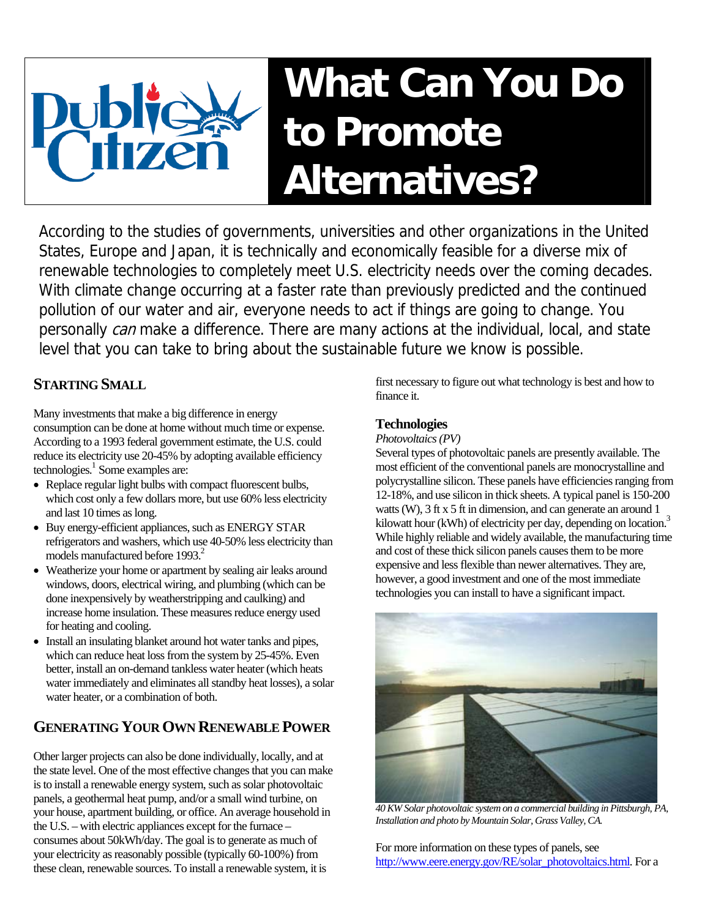# **What Can You Do to Promote Alternatives?**

According to the studies of governments, universities and other organizations in the United States, Europe and Japan, it is technically and economically feasible for a diverse mix of renewable technologies to completely meet U.S. electricity needs over the coming decades. With climate change occurring at a faster rate than previously predicted and the continued pollution of our water and air, everyone needs to act if things are going to change. You personally can make a difference. There are many actions at the individual, local, and state level that you can take to bring about the sustainable future we know is possible.

## **STARTING SMALL**

Many investments that make a big difference in energy consumption can be done at home without much time or expense. According to a 1993 federal government estimate, the U.S. could reduce its electricity use 20-45% by adopting available efficiency technologies. [1](#page-3-0) Some examples are:

- Replace regular light bulbs with compact fluorescent bulbs, which cost only a few dollars more, but use 60% less electricity and last 10 times as long.
- Buy energy-efficient appliances, such as ENERGY STAR refrigerators and washers, which use 40-50% less electricity than models manufactured before 1993.<sup>2</sup>
- Weatherize your home or apartment by sealing air leaks around windows, doors, electrical wiring, and plumbing (which can be done inexpensively by weatherstripping and caulking) and increase home insulation. These measures reduce energy used for heating and cooling.
- Install an insulating blanket around hot water tanks and pipes, which can reduce heat loss from the system by 25-45%. Even better, install an on-demand tankless water heater (which heats water immediately and eliminates all standby heat losses), a solar water heater, or a combination of both.

## **GENERATING YOUR OWN RENEWABLE POWER**

Other larger projects can also be done individually, locally, and at the state level. One of the most effective changes that you can make is to install a renewable energy system, such as solar photovoltaic panels, a geothermal heat pump, and/or a small wind turbine, on your house, apartment building, or office. An average household in the U.S. – with electric appliances except for the furnace – consumes about 50kWh/day. The goal is to generate as much of your electricity as reasonably possible (typically 60-100%) from these clean, renewable sources. To install a renewable system, it is

first necessary to figure out what technology is best and how to finance it.

### **Technologies**

*Photovoltaics (PV)*

Several types of photovoltaic panels are presently available. The most efficient of the conventional panels are monocrystalline and polycrystalline silicon. These panels have efficiencies ranging from 12-18%, and use silicon in thick sheets. A typical panel is 150-200 watts (W), 3 ft x 5 ft in dimension, and can generate an around 1 kilowatt hour (kWh) of electricity per day, depending on location.<sup>[3](#page-3-2)</sup> While highly reliable and widely available, the manufacturing time and cost of these thick silicon panels causes them to be more expensive and less flexible than newer alternatives. They are, however, a good investment and one of the most immediate technologies you can install to have a significant impact.



*40 KW Solar photovoltaic system on a commercial building in Pittsburgh, PA, Installation and photo by Mountain Solar, Grass Valley, CA.* 

For more information on these types of panels, see [http://www.eere.energy.gov/RE/solar\\_photovoltaics.html](http://www.eere.energy.gov/RE/solar_photovoltaics.html). For a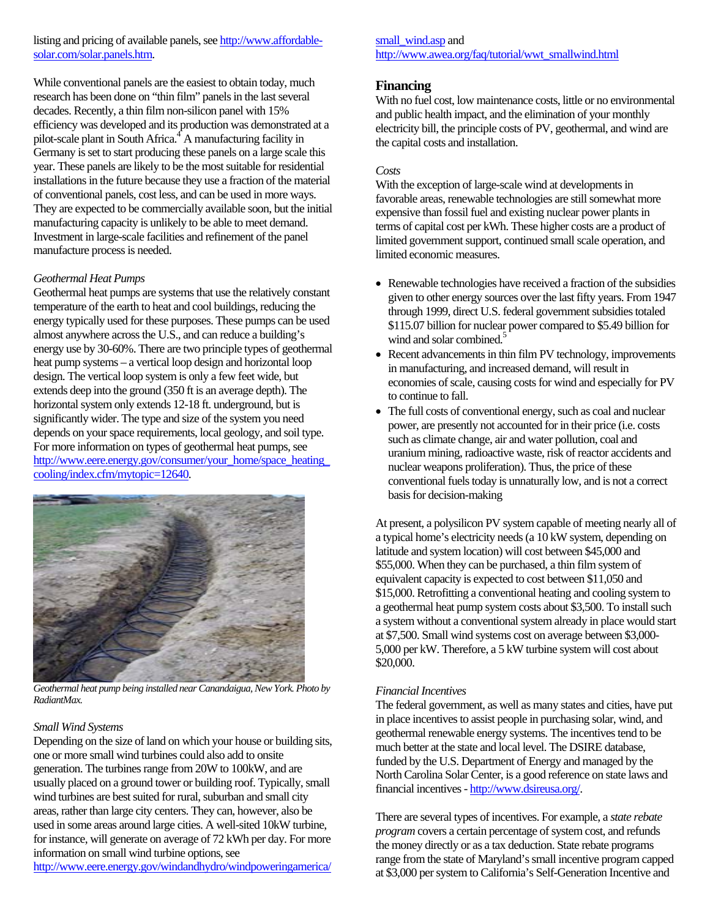listing and pricing of available panels, see [http://www.affordable](http://www.affordable-solar.com/solar.panels.htm)[solar.com/solar.panels.htm](http://www.affordable-solar.com/solar.panels.htm).

While conventional panels are the easiest to obtain today, much research has been done on "thin film" panels in the last several decades. Recently, a thin film non-silicon panel with 15% efficiency was developed and its production was demonstrated at a pilot-scale plant in South Africa.<sup>[4](#page-3-3)</sup> A manufacturing facility in Germany is set to start producing these panels on a large scale this year. These panels are likely to be the most suitable for residential installations in the future because they use a fraction of the material of conventional panels, cost less, and can be used in more ways. They are expected to be commercially available soon, but the initial manufacturing capacity is unlikely to be able to meet demand. Investment in large-scale facilities and refinement of the panel manufacture process is needed.

#### *Geothermal Heat Pumps*

Geothermal heat pumps are systems that use the relatively constant temperature of the earth to heat and cool buildings, reducing the energy typically used for these purposes. These pumps can be used almost anywhere across the U.S., and can reduce a building's [energy use by 30-60%. There are two principle types of geothermal](http://www.eere.energy.gov/windandhydro/windpoweringamerica/small_wind.asp)  heat pump systems – a vertical loop design and horizontal loop design. The vertical loop system is only a few feet wide, but extends deep into the ground (350 ft is an average depth). The horizontal system only extends 12-18 ft. underground, but is significantly wider. The type and size of the system you need depends on your space requirements, local geology, and soil type. For more information on types of geothermal heat pumps, see [http://www.eere.energy.gov/consumer/your\\_home/space\\_heating\\_](http://www.eere.energy.gov/consumer/your_home/space_heating_cooling/index.cfm/mytopic=12640) [cooling/index.cfm/mytopic=12640.](http://www.eere.energy.gov/consumer/your_home/space_heating_cooling/index.cfm/mytopic=12640)



*Geothermal heat pump being installed near Canandaigua, New York. Photo by RadiantMax.* 

#### *Small Wind Systems*

Depending on the size of land on which your house or building sits, one or more small wind turbines could also add to onsite generation. The turbines range from 20W to 100kW, and are usually placed on a ground tower or building roof. Typically, small wind turbines are best suited for rural, suburban and small city areas, rather than large city centers. They can, however, also be used in some areas around large cities. A well-sited 10kW turbine, for instance, will generate on average of 72 kWh per day. For more information on small wind turbine options, see

http://www.eere.energy.gov/windandhydro/windpoweringamerica/

small\_wind.asp and [http://www.awea.org/faq/tutorial/wwt\\_smallwind.html](http://www.awea.org/faq/tutorial/wwt_smallwind.html)

#### **Financing**

With no fuel cost, low maintenance costs, little or no environmental and public health impact, and the elimination of your monthly electricity bill, the principle costs of PV, geothermal, and wind are the capital costs and installation.

#### *Costs*

With the exception of large-scale wind at developments in favorable areas, renewable technologies are still somewhat more expensive than fossil fuel and existing nuclear power plants in terms of capital cost per kWh. These higher costs are a product of limited government support, continued small scale operation, and limited economic measures.

- Renewable technologies have received a fraction of the subsidies given to other energy sources over the last fifty years. From 1947 through 1999, direct U.S. federal government subsidies totaled \$115.07 billion for nuclear power compared to \$5.49 billion for wind and solar combined.<sup>5</sup>
- Recent advancements in thin film PV technology, improvements in manufacturing, and increased demand, will result in economies of scale, causing costs for wind and especially for PV to continue to fall.
- The full costs of conventional energy, such as coal and nuclear power, are presently not accounted for in their price (i.e. costs such as climate change, air and water pollution, coal and uranium mining, radioactive waste, risk of reactor accidents and nuclear weapons proliferation). Thus, the price of these conventional fuels today is unnaturally low, and is not a correct basis for decision-making

At present, a polysilicon PV system capable of meeting nearly all of a typical home's electricity needs (a 10 kW system, depending on latitude and system location) will cost between \$45,000 and \$55,000. When they can be purchased, a thin film system of equivalent capacity is expected to cost between \$11,050 and \$15,000. Retrofitting a conventional heating and cooling system to a geothermal heat pump system costs about \$3,500. To install such a system without a conventional system already in place would start at \$7,500. Small wind systems cost on average between \$3,000- 5,000 per kW. Therefore, a 5 kW turbine system will cost about \$20,000.

#### *Financial Incentives*

The federal government, as well as many states and cities, have put in place incentives to assist people in purchasing solar, wind, and geothermal renewable energy systems. The incentives tend to be much better at the state and local level. The DSIRE database, funded by the U.S. Department of Energy and managed by the North Carolina Solar Center, is a good reference on state laws and financial incentives -<http://www.dsireusa.org/>.

There are several types of incentives. For example, a *state rebate program* covers a certain percentage of system cost, and refunds the money directly or as a tax deduction. State rebate programs range from the state of Maryland's small incentive program capped at \$3,000 per system to California's Self-Generation Incentive and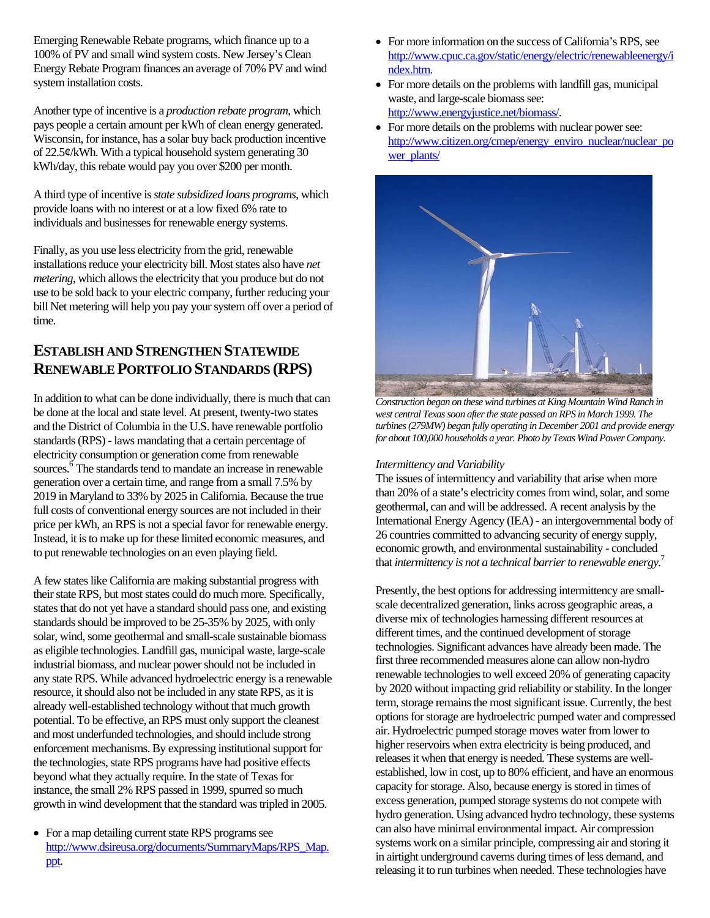Emerging Renewable Rebate programs, which finance up to a 100% of PV and small wind system costs. New Jersey's Clean Energy Rebate Program finances an average of 70% PV and wind system installation costs.

Another type of incentive is a *production rebate program*, which pays people a certain amount per kWh of clean energy generated. Wisconsin, for instance, has a solar buy back production incentive of 22.5¢/kWh. With a typical household system generating 30 kWh/day, this rebate would pay you over \$200 per month.

A third type of incentive is *state subsidized loans programs*, which provide loans with no interest or at a low fixed 6% rate to individuals and businesses for renewable energy systems.

Finally, as you use less electricity from the grid, renewable installations reduce your electricity bill. Most states also have *net metering*, which allows the electricity that you produce but do not use to be sold back to your electric company, further reducing your bill Net metering will help you pay your system off over a period of time.

## **ESTABLISH AND STRENGTHEN STATEWIDE RENEWABLE PORTFOLIO STANDARDS (RPS)**

In addition to what can be done individually, there is much that can be done at the local and state level. At present, twenty-two states and the District of Columbia in the U.S. have renewable portfolio standards (RPS) - laws mandating that a certain percentage of electricity consumption or generation come from renewable sources.<sup>[6](#page-3-5)</sup> The standards tend to mandate an increase in renewable generation over a certain time, and range from a small 7.5% by 2019 in Maryland to 33% by 2025 in California. Because the true full costs of conventional energy sources are not included in their price per kWh, an RPS is not a special favor for renewable energy. Instead, it is to make up for these limited economic measures, and to put renewable technologies on an even playing field.

A few states like California are making substantial progress with their state RPS, but most states could do much more. Specifically, states that do not yet have a standard should pass one, and existing standards should be improved to be 25-35% by 2025, with only solar, wind, some geothermal and small-scale sustainable biomass as eligible technologies. Landfill gas, municipal waste, large-scale industrial biomass, and nuclear power should not be included in any state RPS. While advanced hydroelectric energy is a renewable resource, it should also not be included in any state RPS, as it is already well-established technology without that much growth potential. To be effective, an RPS must only support the cleanest and most underfunded technologies, and should include strong enforcement mechanisms. By expressing institutional support for the technologies, state RPS programs have had positive effects beyond what they actually require. In the state of Texas for instance, the small 2% RPS passed in 1999, spurred so much growth in wind development that the standard was tripled in 2005.

• For a map detailing current state RPS programs see [http://www.dsireusa.org/documents/SummaryMaps/RPS\\_Map.](http://www.dsireusa.org/documents/SummaryMaps/RPS_Map.ppt) [ppt.](http://www.dsireusa.org/documents/SummaryMaps/RPS_Map.ppt)

- For more information on the success of California's RPS, see [http://www.cpuc.ca.gov/static/energy/electric/renewableenergy/i](http://www.cpuc.ca.gov/static/energy/electric/renewableenergy/index.htm) [ndex.htm.](http://www.cpuc.ca.gov/static/energy/electric/renewableenergy/index.htm)
- For more details on the problems with landfill gas, municipal waste, and large-scale biomass see: <http://www.energyjustice.net/biomass/>.
- For more details on the problems with nuclear power see: [http://www.citizen.org/cmep/energy\\_enviro\\_nuclear/nuclear\\_po](http://www.citizen.org/cmep/energy_enviro_nuclear/nuclear_power_plants/) [wer\\_plants/](http://www.citizen.org/cmep/energy_enviro_nuclear/nuclear_power_plants/)



**Construction began on these wind turbines at King Mountain Wind Ranch in** *west central Texas soon after the state passed an RPS in March 1999. The turbines (279MW) began fully operating in December 2001 and provide energy for about 100,000 households a year. Photo by Texas Wind Power Company.* 

#### *Intermittency and Variability*

The issues of intermittency and variability that arise when more than 20% of a state's electricity comes from wind, solar, and some geothermal, can and will be addressed. A recent analysis by the International Energy Agency (IEA) - an intergovernmental body of 26 countries committed to advancing security of energy supply, economic growth, and environmental sustainability - concluded that *intermittency is not a technical barrier to renewable energy*. [7](#page-3-6)

Presently, the best options for addressing intermittency are smallscale decentralized generation, links across geographic areas, a diverse mix of technologies harnessing different resources at different times, and the continued development of storage technologies. Significant advances have already been made. The first three recommended measures alone can allow non-hydro renewable technologies to well exceed 20% of generating capacity by 2020 without impacting grid reliability or stability. In the longer term, storage remains the most significant issue. Currently, the best options for storage are hydroelectric pumped water and compressed air. Hydroelectric pumped storage moves water from lower to higher reservoirs when extra electricity is being produced, and releases it when that energy is needed. These systems are wellestablished, low in cost, up to 80% efficient, and have an enormous capacity for storage. Also, because energy is stored in times of excess generation, pumped storage systems do not compete with hydro generation. Using advanced hydro technology, these systems can also have minimal environmental impact. Air compression systems work on a similar principle, compressing air and storing it in airtight underground caverns during times of less demand, and releasing it to run turbines when needed. These technologies have